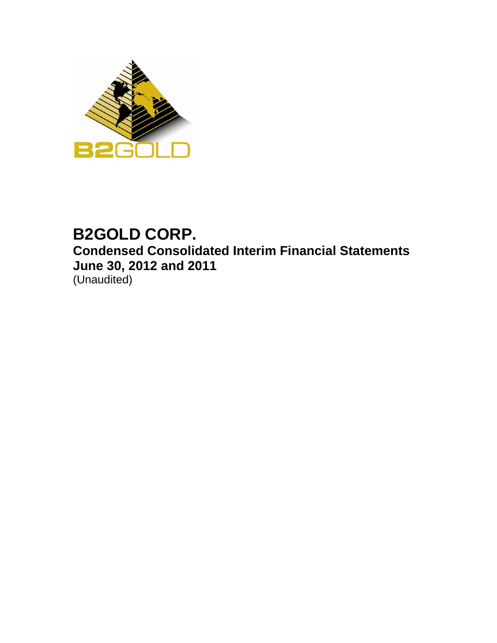

# **B2GOLD CORP. Condensed Consolidated Interim Financial Statements June 30, 2012 and 2011** (Unaudited)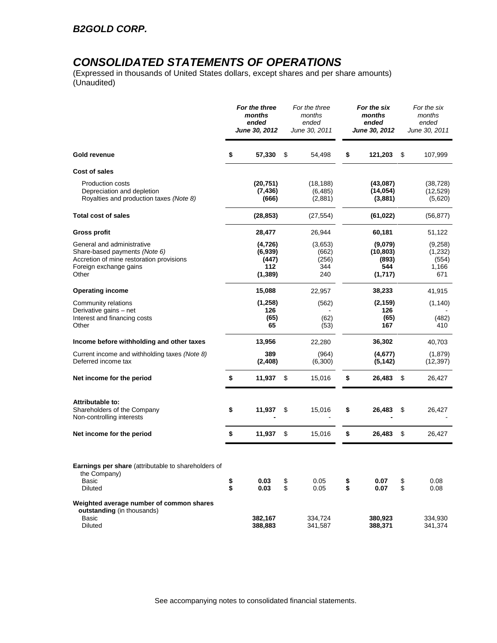### *CONSOLIDATED STATEMENTS OF OPERATIONS*

(Expressed in thousands of United States dollars, except shares and per share amounts) (Unaudited)

|                                                                                                                                                   |          | For the three<br>months<br>ended<br>June 30, 2012 |          | For the three<br>months<br>ended<br>June 30, 2011 |          | For the six<br>months<br>ended<br>June 30, 2012 |          | For the six<br>months<br>ended<br>June 30, 2011 |
|---------------------------------------------------------------------------------------------------------------------------------------------------|----------|---------------------------------------------------|----------|---------------------------------------------------|----------|-------------------------------------------------|----------|-------------------------------------------------|
| Gold revenue                                                                                                                                      | \$       | 57,330                                            | \$       | 54.498                                            | \$       | 121,203                                         | \$       | 107,999                                         |
| Cost of sales                                                                                                                                     |          |                                                   |          |                                                   |          |                                                 |          |                                                 |
| <b>Production costs</b><br>Depreciation and depletion<br>Royalties and production taxes (Note 8)                                                  |          | (20, 751)<br>(7, 436)<br>(666)                    |          | (18, 188)<br>(6, 485)<br>(2,881)                  |          | (43,087)<br>(14, 054)<br>(3,881)                |          | (38, 728)<br>(12, 529)<br>(5,620)               |
| <b>Total cost of sales</b>                                                                                                                        |          | (28, 853)                                         |          | (27, 554)                                         |          | (61, 022)                                       |          | (56, 877)                                       |
| <b>Gross profit</b>                                                                                                                               |          | 28,477                                            |          | 26,944                                            |          | 60,181                                          |          | 51,122                                          |
| General and administrative<br>Share-based payments <i>(Note 6)</i><br>Accretion of mine restoration provisions<br>Foreign exchange gains<br>Other |          | (4, 726)<br>(6,939)<br>(447)<br>112<br>(1, 389)   |          | (3,653)<br>(662)<br>(256)<br>344<br>240           |          | (9,079)<br>(10, 803)<br>(893)<br>544<br>(1,717) |          | (9,258)<br>(1,232)<br>(554)<br>1,166<br>671     |
| <b>Operating income</b>                                                                                                                           |          | 15,088                                            |          | 22,957                                            |          | 38,233                                          |          | 41,915                                          |
| Community relations<br>Derivative gains - net<br>Interest and financing costs<br>Other                                                            |          | (1,258)<br>126<br>(65)<br>65                      |          | (562)<br>(62)<br>(53)                             |          | (2, 159)<br>126<br>(65)<br>167                  |          | (1, 140)<br>(482)<br>410                        |
| Income before withholding and other taxes                                                                                                         |          | 13,956                                            |          | 22,280                                            |          | 36,302                                          |          | 40,703                                          |
| Current income and withholding taxes (Note 8)<br>Deferred income tax                                                                              |          | 389<br>(2,408)                                    |          | (964)<br>(6,300)                                  |          | (4,677)<br>(5, 142)                             |          | (1,879)<br>(12, 397)                            |
| Net income for the period                                                                                                                         | \$       | 11,937                                            | \$       | 15,016                                            | \$       | 26,483                                          | \$       | 26,427                                          |
| Attributable to:<br>Shareholders of the Company<br>Non-controlling interests                                                                      | \$       | 11,937                                            | \$       | 15,016                                            | \$       | 26,483                                          | \$       | 26,427                                          |
| Net income for the period                                                                                                                         | \$       | 11,937                                            | \$       | 15,016                                            | \$       | 26,483                                          | \$       | 26,427                                          |
| Earnings per share (attributable to shareholders of<br>the Company)<br>Basic<br><b>Diluted</b>                                                    | \$<br>\$ | 0.03<br>0.03                                      | \$<br>\$ | 0.05<br>0.05                                      | \$<br>\$ | 0.07<br>0.07                                    | \$<br>\$ | 0.08<br>0.08                                    |
| Weighted average number of common shares<br>outstanding (in thousands)<br>Basic<br>Diluted                                                        |          | 382,167<br>388,883                                |          | 334,724<br>341,587                                |          | 380,923<br>388,371                              |          | 334,930<br>341,374                              |

See accompanying notes to consolidated financial statements.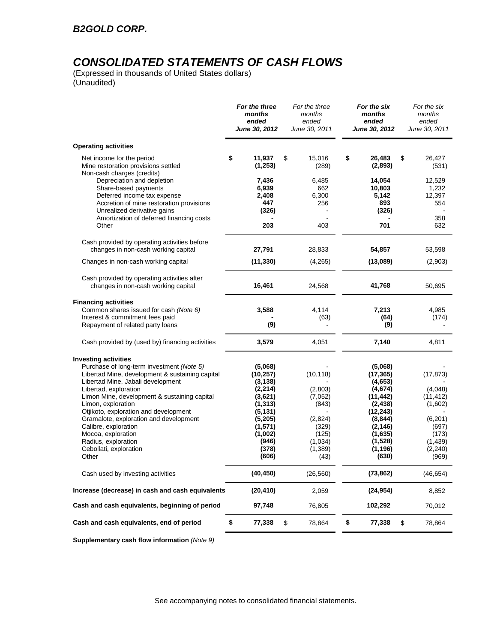# *CONSOLIDATED STATEMENTS OF CASH FLOWS*

(Expressed in thousands of United States dollars) (Unaudited)

| <b>Operating activities</b><br>\$<br>11,937<br>15,016<br>\$<br>26,483<br>Net income for the period<br>\$<br>\$<br>Mine restoration provisions settled<br>(1, 253)<br>(2,893)<br>(289)<br>Non-cash charges (credits)<br>Depreciation and depletion<br>14,054<br>7,436<br>6,485<br>6,939<br>10,803<br>Share-based payments<br>662<br>Deferred income tax expense<br>2,408<br>6,300<br>5,142<br>447<br>893<br>Accretion of mine restoration provisions<br>256<br>Unrealized derivative gains<br>(326)<br>(326)<br>Amortization of deferred financing costs<br>203<br>403<br>701<br>Other<br>Cash provided by operating activities before<br>changes in non-cash working capital<br>27,791<br>28,833<br>54,857<br>(11, 330)<br>Changes in non-cash working capital<br>(4,265)<br>(13,089)<br>Cash provided by operating activities after<br>changes in non-cash working capital<br>16,461<br>24,568<br>41,768<br><b>Financing activities</b><br>Common shares issued for cash (Note 6)<br>3,588<br>4,114<br>7,213<br>Interest & commitment fees paid<br>(63)<br>(64)<br>(9)<br>(9)<br>Repayment of related party loans<br>Cash provided by (used by) financing activities<br>3,579<br>4,051<br>7,140<br><b>Investing activities</b><br>Purchase of long-term investment (Note 5)<br>(5,068)<br>(5,068)<br>Libertad Mine, development & sustaining capital<br>(10, 257)<br>(10, 118)<br>(17, 365)<br>Libertad Mine, Jabali development<br>(3, 138)<br>(4,653)<br>Libertad, exploration<br>(2, 214)<br>(4,674)<br>(2,803)<br>Limon Mine, development & sustaining capital<br>(3,621)<br>(7,052)<br>(11, 442) | 26,427<br>(531)<br>12,529<br>1,232<br>12,397               |
|--------------------------------------------------------------------------------------------------------------------------------------------------------------------------------------------------------------------------------------------------------------------------------------------------------------------------------------------------------------------------------------------------------------------------------------------------------------------------------------------------------------------------------------------------------------------------------------------------------------------------------------------------------------------------------------------------------------------------------------------------------------------------------------------------------------------------------------------------------------------------------------------------------------------------------------------------------------------------------------------------------------------------------------------------------------------------------------------------------------------------------------------------------------------------------------------------------------------------------------------------------------------------------------------------------------------------------------------------------------------------------------------------------------------------------------------------------------------------------------------------------------------------------------------------------------------------------------------------------|------------------------------------------------------------|
|                                                                                                                                                                                                                                                                                                                                                                                                                                                                                                                                                                                                                                                                                                                                                                                                                                                                                                                                                                                                                                                                                                                                                                                                                                                                                                                                                                                                                                                                                                                                                                                                        |                                                            |
|                                                                                                                                                                                                                                                                                                                                                                                                                                                                                                                                                                                                                                                                                                                                                                                                                                                                                                                                                                                                                                                                                                                                                                                                                                                                                                                                                                                                                                                                                                                                                                                                        |                                                            |
|                                                                                                                                                                                                                                                                                                                                                                                                                                                                                                                                                                                                                                                                                                                                                                                                                                                                                                                                                                                                                                                                                                                                                                                                                                                                                                                                                                                                                                                                                                                                                                                                        | 554<br>358                                                 |
|                                                                                                                                                                                                                                                                                                                                                                                                                                                                                                                                                                                                                                                                                                                                                                                                                                                                                                                                                                                                                                                                                                                                                                                                                                                                                                                                                                                                                                                                                                                                                                                                        | 632                                                        |
|                                                                                                                                                                                                                                                                                                                                                                                                                                                                                                                                                                                                                                                                                                                                                                                                                                                                                                                                                                                                                                                                                                                                                                                                                                                                                                                                                                                                                                                                                                                                                                                                        | 53,598                                                     |
|                                                                                                                                                                                                                                                                                                                                                                                                                                                                                                                                                                                                                                                                                                                                                                                                                                                                                                                                                                                                                                                                                                                                                                                                                                                                                                                                                                                                                                                                                                                                                                                                        | (2,903)                                                    |
|                                                                                                                                                                                                                                                                                                                                                                                                                                                                                                                                                                                                                                                                                                                                                                                                                                                                                                                                                                                                                                                                                                                                                                                                                                                                                                                                                                                                                                                                                                                                                                                                        | 50,695                                                     |
|                                                                                                                                                                                                                                                                                                                                                                                                                                                                                                                                                                                                                                                                                                                                                                                                                                                                                                                                                                                                                                                                                                                                                                                                                                                                                                                                                                                                                                                                                                                                                                                                        |                                                            |
|                                                                                                                                                                                                                                                                                                                                                                                                                                                                                                                                                                                                                                                                                                                                                                                                                                                                                                                                                                                                                                                                                                                                                                                                                                                                                                                                                                                                                                                                                                                                                                                                        | 4,985<br>(174)                                             |
|                                                                                                                                                                                                                                                                                                                                                                                                                                                                                                                                                                                                                                                                                                                                                                                                                                                                                                                                                                                                                                                                                                                                                                                                                                                                                                                                                                                                                                                                                                                                                                                                        | 4,811                                                      |
|                                                                                                                                                                                                                                                                                                                                                                                                                                                                                                                                                                                                                                                                                                                                                                                                                                                                                                                                                                                                                                                                                                                                                                                                                                                                                                                                                                                                                                                                                                                                                                                                        | (17, 873)                                                  |
| Limon, exploration<br>(1, 313)<br>(2, 438)<br>(843)<br>Otjikoto, exploration and development<br>(5, 131)<br>(12, 243)                                                                                                                                                                                                                                                                                                                                                                                                                                                                                                                                                                                                                                                                                                                                                                                                                                                                                                                                                                                                                                                                                                                                                                                                                                                                                                                                                                                                                                                                                  | (4,048)<br>(11, 412)<br>(1,602)                            |
| Gramalote, exploration and development<br>(5,205)<br>(2,824)<br>(8, 844)<br>Calibre, exploration<br>(1,571)<br>(329)<br>(2, 146)<br>Mocoa, exploration<br>(125)<br>(1,002)<br>(1,635)<br>Radius, exploration<br>(1,034)<br>(946)<br>(1,528)<br>Cebollati, exploration<br>(378)<br>(1, 389)<br>(1, 196)<br>(606)<br>Other<br>(630)<br>(43)                                                                                                                                                                                                                                                                                                                                                                                                                                                                                                                                                                                                                                                                                                                                                                                                                                                                                                                                                                                                                                                                                                                                                                                                                                                              | (6,201)<br>(697)<br>(173)<br>(1, 439)<br>(2, 240)<br>(969) |
| Cash used by investing activities<br>(40, 450)<br>(26, 560)<br>(73, 862)                                                                                                                                                                                                                                                                                                                                                                                                                                                                                                                                                                                                                                                                                                                                                                                                                                                                                                                                                                                                                                                                                                                                                                                                                                                                                                                                                                                                                                                                                                                               | (46, 654)                                                  |
| Increase (decrease) in cash and cash equivalents<br>2,059<br>(24, 954)<br>(20, 410)                                                                                                                                                                                                                                                                                                                                                                                                                                                                                                                                                                                                                                                                                                                                                                                                                                                                                                                                                                                                                                                                                                                                                                                                                                                                                                                                                                                                                                                                                                                    | 8,852                                                      |
| Cash and cash equivalents, beginning of period<br>76,805<br>102,292<br>97,748                                                                                                                                                                                                                                                                                                                                                                                                                                                                                                                                                                                                                                                                                                                                                                                                                                                                                                                                                                                                                                                                                                                                                                                                                                                                                                                                                                                                                                                                                                                          | 70,012                                                     |
| Cash and cash equivalents, end of period<br>\$<br>\$<br>\$<br>77,338<br>78,864<br>77,338<br>\$<br>78,864                                                                                                                                                                                                                                                                                                                                                                                                                                                                                                                                                                                                                                                                                                                                                                                                                                                                                                                                                                                                                                                                                                                                                                                                                                                                                                                                                                                                                                                                                               |                                                            |

**Supplementary cash flow information** *(Note 9)*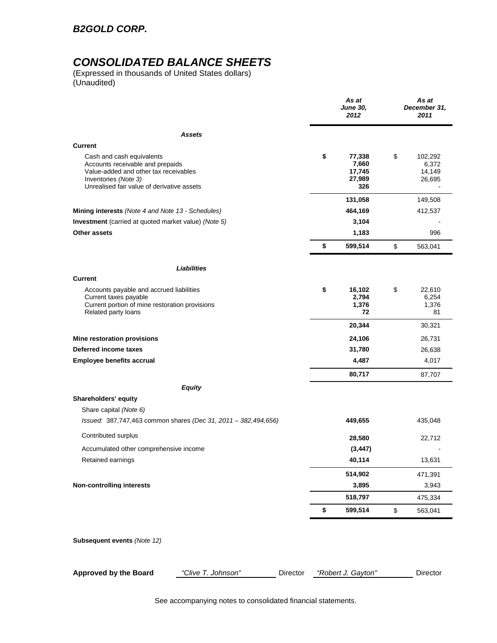### *B2GOLD CORP.*

## *CONSOLIDATED BALANCE SHEETS*

(Expressed in thousands of United States dollars) (Unaudited)

|                                                                                                                                                                              | As at<br><b>June 30,</b><br>2012                 | As at<br>December 31,<br>2011              |
|------------------------------------------------------------------------------------------------------------------------------------------------------------------------------|--------------------------------------------------|--------------------------------------------|
| <b>Assets</b>                                                                                                                                                                |                                                  |                                            |
| <b>Current</b>                                                                                                                                                               |                                                  |                                            |
| Cash and cash equivalents<br>Accounts receivable and prepaids<br>Value-added and other tax receivables<br>Inventories (Note 3)<br>Unrealised fair value of derivative assets | \$<br>77,338<br>7,660<br>17,745<br>27,989<br>326 | \$<br>102,292<br>6,372<br>14,149<br>26,695 |
|                                                                                                                                                                              | 131,058                                          | 149,508                                    |
| Mining interests (Note 4 and Note 13 - Schedules)                                                                                                                            | 464,169                                          | 412,537                                    |
| <b>Investment</b> (carried at quoted market value) (Note 5)                                                                                                                  | 3,104                                            |                                            |
| <b>Other assets</b>                                                                                                                                                          | 1,183                                            | 996                                        |
|                                                                                                                                                                              | \$<br>599,514                                    | \$<br>563,041                              |
| Liabilities                                                                                                                                                                  |                                                  |                                            |
| <b>Current</b>                                                                                                                                                               |                                                  |                                            |
| Accounts payable and accrued liabilities<br>Current taxes payable<br>Current portion of mine restoration provisions<br>Related party loans                                   | \$<br>16,102<br>2,794<br>1,376<br>72             | \$<br>22,610<br>6,254<br>1,376<br>81       |
|                                                                                                                                                                              | 20,344                                           | 30,321                                     |
| Mine restoration provisions                                                                                                                                                  | 24,106                                           | 26,731                                     |
| Deferred income taxes                                                                                                                                                        | 31,780                                           | 26,638                                     |
| <b>Employee benefits accrual</b>                                                                                                                                             | 4,487                                            | 4,017                                      |
|                                                                                                                                                                              | 80,717                                           | 87,707                                     |
| <b>Equity</b>                                                                                                                                                                |                                                  |                                            |
| Shareholders' equity<br>Share capital (Note 6)<br>Issued: 387,747,463 common shares (Dec 31, 2011 - 382,494,656)                                                             | 449,655                                          | 435,048                                    |
|                                                                                                                                                                              |                                                  |                                            |
| Contributed surplus                                                                                                                                                          | 28,580                                           | 22,712                                     |
| Accumulated other comprehensive income                                                                                                                                       | (3, 447)                                         |                                            |
| Retained earnings                                                                                                                                                            | 40,114                                           | 13,631                                     |
|                                                                                                                                                                              | 514,902                                          | 471,391                                    |
| <b>Non-controlling interests</b>                                                                                                                                             | 3,895                                            | 3,943                                      |
|                                                                                                                                                                              | 518,797                                          | 475,334                                    |
|                                                                                                                                                                              | \$<br>599,514                                    | \$<br>563,041                              |
| Subsequent events (Note 12)                                                                                                                                                  |                                                  |                                            |
| <b>Approved by the Board</b><br>"Clive T. Johnson"<br>Director                                                                                                               | "Robert J. Gayton"                               | Director                                   |

See accompanying notes to consolidated financial statements.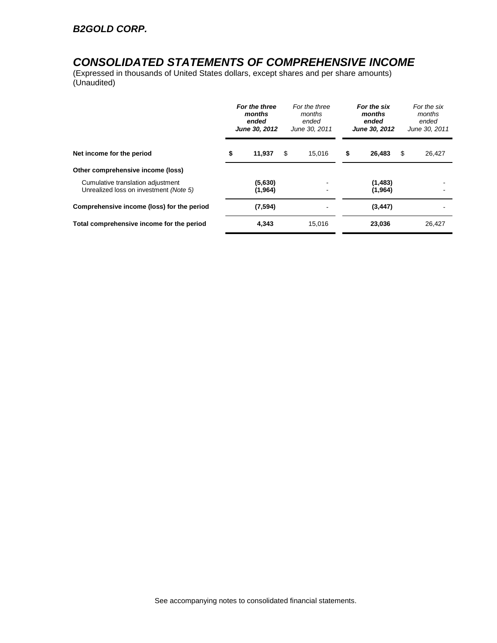### *CONSOLIDATED STATEMENTS OF COMPREHENSIVE INCOME*

(Expressed in thousands of United States dollars, except shares and per share amounts) (Unaudited)

|                                                                             | For the three<br>months<br>ended<br>June 30, 2012 | For the three<br>months<br>ended<br>June 30, 2011 | For the six<br>months<br>ended<br>June 30, 2012 | For the six<br>months<br>ended<br>June 30, 2011 |
|-----------------------------------------------------------------------------|---------------------------------------------------|---------------------------------------------------|-------------------------------------------------|-------------------------------------------------|
| Net income for the period                                                   | \$<br>11,937                                      | \$<br>15.016                                      | \$<br>26,483                                    | \$<br>26,427                                    |
| Other comprehensive income (loss)                                           |                                                   |                                                   |                                                 |                                                 |
| Cumulative translation adjustment<br>Unrealized loss on investment (Note 5) | (5,630)<br>(1,964)                                |                                                   | (1, 483)<br>(1,964)                             |                                                 |
| Comprehensive income (loss) for the period                                  | (7, 594)                                          |                                                   | (3, 447)                                        |                                                 |
| Total comprehensive income for the period                                   | 4,343                                             | 15.016                                            | 23,036                                          | 26.427                                          |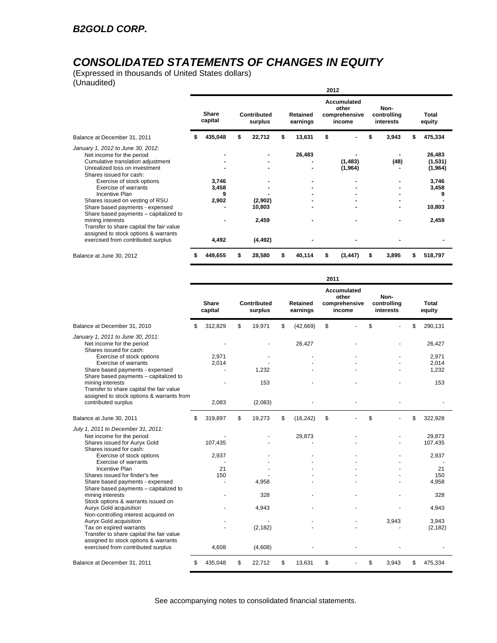# *CONSOLIDATED STATEMENTS OF CHANGES IN EQUITY*

(Expressed in thousands of United States dollars) (Unaudited)

|                                                                                                                                                                 |                     |   |                        |    |                      | 2012 |                                                 |                                  |   |                              |
|-----------------------------------------------------------------------------------------------------------------------------------------------------------------|---------------------|---|------------------------|----|----------------------|------|-------------------------------------------------|----------------------------------|---|------------------------------|
|                                                                                                                                                                 | Share<br>capital    |   | Contributed<br>surplus |    | Retained<br>earnings |      | Accumulated<br>other<br>comprehensive<br>income | Non-<br>controlling<br>interests |   | Total<br>equity              |
| Balance at December 31, 2011                                                                                                                                    | 435,048             | S | 22,712                 | \$ | 13,631               | \$   |                                                 | \$<br>3,943                      |   | 475,334                      |
| January 1, 2012 to June 30, 2012:<br>Net income for the period<br>Cumulative translation adjustment<br>Unrealized loss on investment<br>Shares issued for cash: |                     |   |                        |    | 26,483               |      | (1,483)<br>(1, 964)                             | (48)                             |   | 26,483<br>(1,531)<br>(1,964) |
| Exercise of stock options<br>Exercise of warrants<br>Incentive Plan                                                                                             | 3,746<br>3,458<br>9 |   |                        |    |                      |      |                                                 |                                  |   | 3,746<br>3,458<br>9          |
| Shares issued on vesting of RSU<br>Share based payments - expensed<br>Share based payments - capitalized to                                                     | 2,902               |   | (2,902)<br>10,803      |    |                      |      |                                                 |                                  |   | 10,803                       |
| mining interests<br>Transfer to share capital the fair value<br>assigned to stock options & warrants<br>exercised from contributed surplus                      | 4,492               |   | 2,459<br>(4, 492)      |    |                      |      |                                                 |                                  |   | 2,459                        |
| Balance at June 30, 2012                                                                                                                                        | 449,655             |   | 28,580                 | S  | 40,114               | \$   | (3, 447)                                        | \$<br>3,895                      | S | 518,797                      |

|                                                                                                                                       |                  |                        |                      | 2011 |                                                 |                                  |                         |
|---------------------------------------------------------------------------------------------------------------------------------------|------------------|------------------------|----------------------|------|-------------------------------------------------|----------------------------------|-------------------------|
|                                                                                                                                       | Share<br>capital | Contributed<br>surplus | Retained<br>earnings |      | Accumulated<br>other<br>comprehensive<br>income | Non-<br>controlling<br>interests | Total<br>equity         |
| Balance at December 31, 2010                                                                                                          | \$<br>312,829    | \$<br>19,971           | \$<br>(42,669)       | \$   |                                                 | \$                               | \$<br>290,131           |
| January 1, 2011 to June 30, 2011:<br>Net income for the period<br>Shares issued for cash:                                             |                  |                        | 26.427               |      |                                                 |                                  | 26,427                  |
| Exercise of stock options<br><b>Exercise of warrants</b><br>Share based payments - expensed                                           | 2.971<br>2,014   | 1,232                  |                      |      |                                                 |                                  | 2.971<br>2,014<br>1,232 |
| Share based payments - capitalized to<br>mining interests<br>Transfer to share capital the fair value                                 |                  | 153                    |                      |      |                                                 |                                  | 153                     |
| assigned to stock options & warrants from<br>contributed surplus                                                                      | 2,083            | (2,083)                |                      |      |                                                 |                                  |                         |
| Balance at June 30, 2011                                                                                                              | \$<br>319,897    | \$<br>19,273           | \$<br>(16, 242)      | \$   |                                                 | \$                               | \$<br>322,928           |
| July 1, 2011 to December 31, 2011:<br>Net income for the period<br>Shares issued for Auryx Gold                                       | 107,435          |                        | 29,873               |      |                                                 |                                  | 29.873<br>107,435       |
| Shares issued for cash:<br>Exercise of stock options<br>Exercise of warrants                                                          | 2,937            |                        |                      |      |                                                 |                                  | 2,937                   |
| Incentive Plan<br>Shares issued for finder's fee<br>Share based payments - expensed                                                   | 21<br>150        | 4,958                  |                      |      |                                                 |                                  | 21<br>150<br>4,958      |
| Share based payments - capitalized to<br>mining interests<br>Stock options & warrants issued on                                       |                  | 328                    |                      |      |                                                 |                                  | 328                     |
| Auryx Gold acquisition<br>Non-controlling interest acquired on                                                                        |                  | 4,943                  |                      |      |                                                 |                                  | 4,943                   |
| Auryx Gold acquisition<br>Tax on expired warrants<br>Transfer to share capital the fair value<br>assigned to stock options & warrants |                  | (2, 182)               |                      |      |                                                 | 3,943                            | 3,943<br>(2, 182)       |
| exercised from contributed surplus                                                                                                    | 4,608            | (4,608)                |                      |      |                                                 |                                  |                         |
| Balance at December 31, 2011                                                                                                          | \$<br>435,048    | \$<br>22,712           | \$<br>13,631         | \$   |                                                 | \$<br>3,943                      | \$<br>475,334           |

See accompanying notes to consolidated financial statements.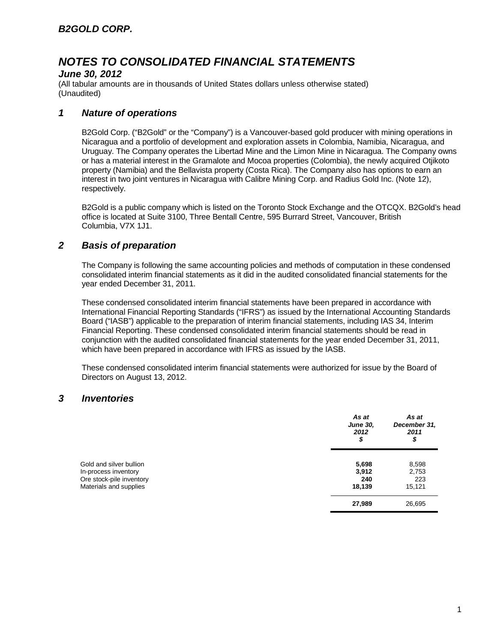#### *June 30, 2012*

(All tabular amounts are in thousands of United States dollars unless otherwise stated) (Unaudited)

### *1 Nature of operations*

B2Gold Corp. ("B2Gold" or the "Company") is a Vancouver-based gold producer with mining operations in Nicaragua and a portfolio of development and exploration assets in Colombia, Namibia, Nicaragua, and Uruguay. The Company operates the Libertad Mine and the Limon Mine in Nicaragua. The Company owns or has a material interest in the Gramalote and Mocoa properties (Colombia), the newly acquired Otjikoto property (Namibia) and the Bellavista property (Costa Rica). The Company also has options to earn an interest in two joint ventures in Nicaragua with Calibre Mining Corp. and Radius Gold Inc. (Note 12), respectively.

B2Gold is a public company which is listed on the Toronto Stock Exchange and the OTCQX. B2Gold's head office is located at Suite 3100, Three Bentall Centre, 595 Burrard Street, Vancouver, British Columbia, V7X 1J1.

### *2 Basis of preparation*

The Company is following the same accounting policies and methods of computation in these condensed consolidated interim financial statements as it did in the audited consolidated financial statements for the year ended December 31, 2011.

These condensed consolidated interim financial statements have been prepared in accordance with International Financial Reporting Standards ("IFRS") as issued by the International Accounting Standards Board ("IASB") applicable to the preparation of interim financial statements, including IAS 34, Interim Financial Reporting. These condensed consolidated interim financial statements should be read in conjunction with the audited consolidated financial statements for the year ended December 31, 2011, which have been prepared in accordance with IFRS as issued by the IASB.

These condensed consolidated interim financial statements were authorized for issue by the Board of Directors on August 13, 2012.

### *3 Inventories*

|                                                                                                       | As at<br><b>June 30,</b><br>2012<br>\$ | As at<br>December 31,<br>2011<br>\$ |
|-------------------------------------------------------------------------------------------------------|----------------------------------------|-------------------------------------|
| Gold and silver bullion<br>In-process inventory<br>Ore stock-pile inventory<br>Materials and supplies | 5,698<br>3,912<br>240<br>18,139        | 8,598<br>2,753<br>223<br>15,121     |
|                                                                                                       | 27,989                                 | 26,695                              |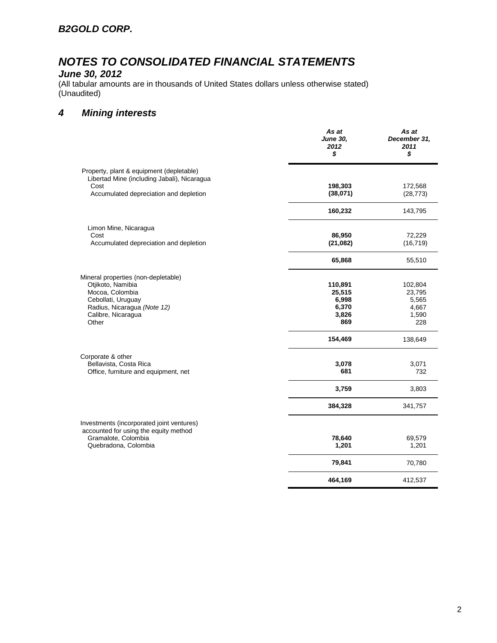### *June 30, 2012*

(All tabular amounts are in thousands of United States dollars unless otherwise stated) (Unaudited)

### *4 Mining interests*

|                                                                                         | As at<br><b>June 30,</b><br>2012<br>\$ | As at<br>December 31,<br>2011<br>\$ |
|-----------------------------------------------------------------------------------------|----------------------------------------|-------------------------------------|
| Property, plant & equipment (depletable)<br>Libertad Mine (including Jabali), Nicaragua |                                        |                                     |
| Cost                                                                                    | 198,303                                | 172,568                             |
| Accumulated depreciation and depletion                                                  | (38,071)                               | (28, 773)                           |
|                                                                                         | 160,232                                | 143,795                             |
| Limon Mine, Nicaragua                                                                   |                                        |                                     |
| Cost                                                                                    | 86,950                                 | 72,229                              |
| Accumulated depreciation and depletion                                                  | (21, 082)                              | (16, 719)                           |
|                                                                                         | 65,868                                 | 55,510                              |
| Mineral properties (non-depletable)                                                     |                                        |                                     |
| Otjikoto, Namibia                                                                       | 110,891                                | 102,804                             |
| Mocoa, Colombia                                                                         | 25,515                                 | 23,795                              |
| Cebollati, Uruguay                                                                      | 6,998                                  | 5,565                               |
| Radius, Nicaragua (Note 12)                                                             | 6,370                                  | 4,667                               |
| Calibre, Nicaragua<br>Other                                                             | 3,826<br>869                           | 1,590<br>228                        |
|                                                                                         | 154,469                                | 138,649                             |
| Corporate & other                                                                       |                                        |                                     |
| Bellavista, Costa Rica                                                                  | 3,078                                  | 3,071                               |
| Office, furniture and equipment, net                                                    | 681                                    | 732                                 |
|                                                                                         | 3,759                                  | 3,803                               |
|                                                                                         | 384,328                                | 341,757                             |
| Investments (incorporated joint ventures)                                               |                                        |                                     |
| accounted for using the equity method                                                   |                                        |                                     |
| Gramalote, Colombia<br>Quebradona, Colombia                                             | 78,640<br>1,201                        | 69,579<br>1,201                     |
|                                                                                         | 79,841                                 | 70,780                              |
|                                                                                         | 464,169                                | 412,537                             |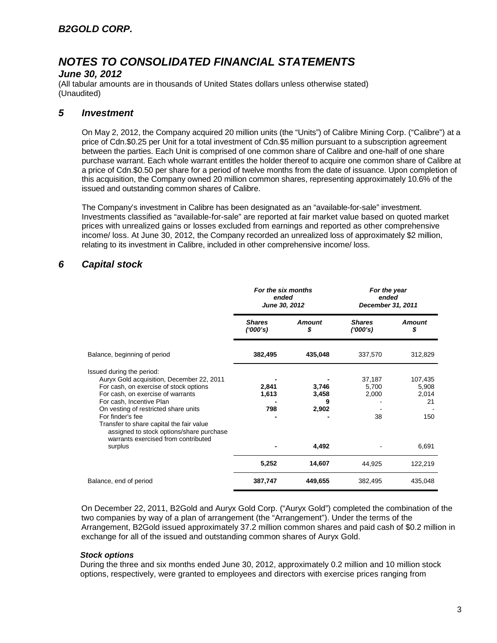#### *June 30, 2012*

(All tabular amounts are in thousands of United States dollars unless otherwise stated) (Unaudited)

### *5 Investment*

On May 2, 2012, the Company acquired 20 million units (the "Units") of Calibre Mining Corp. ("Calibre") at a price of Cdn.\$0.25 per Unit for a total investment of Cdn.\$5 million pursuant to a subscription agreement between the parties. Each Unit is comprised of one common share of Calibre and one-half of one share purchase warrant. Each whole warrant entitles the holder thereof to acquire one common share of Calibre at a price of Cdn.\$0.50 per share for a period of twelve months from the date of issuance. Upon completion of this acquisition, the Company owned 20 million common shares, representing approximately 10.6% of the issued and outstanding common shares of Calibre.

The Company's investment in Calibre has been designated as an "available-for-sale" investment. Investments classified as "available-for-sale" are reported at fair market value based on quoted market prices with unrealized gains or losses excluded from earnings and reported as other comprehensive income/ loss. At June 30, 2012, the Company recorded an unrealized loss of approximately \$2 million, relating to its investment in Calibre, included in other comprehensive income/ loss.

### *6 Capital stock*

|                                                                                                                                                                                                                                                                                           | For the six months<br>ended<br>June 30, 2012 |                              | For the year<br>ended<br>December 31, 2011 |                                        |
|-------------------------------------------------------------------------------------------------------------------------------------------------------------------------------------------------------------------------------------------------------------------------------------------|----------------------------------------------|------------------------------|--------------------------------------------|----------------------------------------|
|                                                                                                                                                                                                                                                                                           | <b>Shares</b><br>(000's)                     | <b>Amount</b><br>S           | <b>Shares</b><br>(1000's)                  | <b>Amount</b><br>S                     |
| Balance, beginning of period                                                                                                                                                                                                                                                              | 382,495                                      | 435,048                      | 337,570                                    | 312,829                                |
| Issued during the period:<br>Auryx Gold acquisition, December 22, 2011<br>For cash, on exercise of stock options<br>For cash, on exercise of warrants<br>For cash, Incentive Plan<br>On vesting of restricted share units<br>For finder's fee<br>Transfer to share capital the fair value | 2,841<br>1,613<br>798                        | 3,746<br>3,458<br>9<br>2,902 | 37,187<br>5,700<br>2,000<br>38             | 107,435<br>5,908<br>2,014<br>21<br>150 |
| assigned to stock options/share purchase<br>warrants exercised from contributed<br>surplus                                                                                                                                                                                                |                                              | 4,492                        |                                            | 6,691                                  |
|                                                                                                                                                                                                                                                                                           | 5,252                                        | 14,607                       | 44,925                                     | 122,219                                |
| Balance, end of period                                                                                                                                                                                                                                                                    | 387,747                                      | 449,655                      | 382,495                                    | 435,048                                |

On December 22, 2011, B2Gold and Auryx Gold Corp. ("Auryx Gold") completed the combination of the two companies by way of a plan of arrangement (the "Arrangement"). Under the terms of the Arrangement, B2Gold issued approximately 37.2 million common shares and paid cash of \$0.2 million in exchange for all of the issued and outstanding common shares of Auryx Gold.

#### *Stock options*

During the three and six months ended June 30, 2012, approximately 0.2 million and 10 million stock options, respectively, were granted to employees and directors with exercise prices ranging from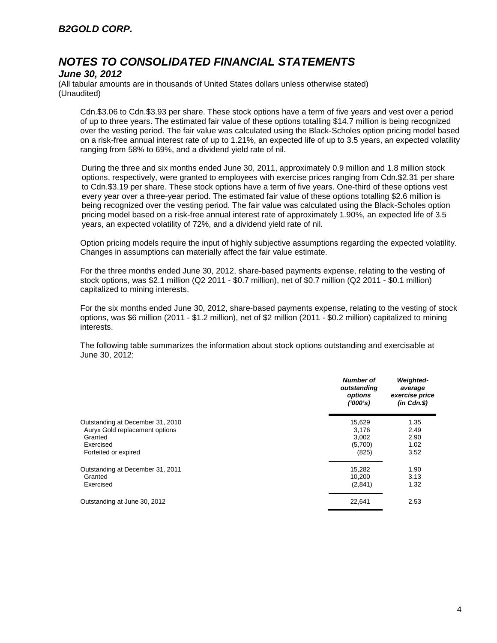#### *June 30, 2012*

(All tabular amounts are in thousands of United States dollars unless otherwise stated) (Unaudited)

Cdn.\$3.06 to Cdn.\$3.93 per share. These stock options have a term of five years and vest over a period of up to three years. The estimated fair value of these options totalling \$14.7 million is being recognized over the vesting period. The fair value was calculated using the Black-Scholes option pricing model based on a risk-free annual interest rate of up to 1.21%, an expected life of up to 3.5 years, an expected volatility ranging from 58% to 69%, and a dividend yield rate of nil.

During the three and six months ended June 30, 2011, approximately 0.9 million and 1.8 million stock options, respectively, were granted to employees with exercise prices ranging from Cdn.\$2.31 per share to Cdn.\$3.19 per share. These stock options have a term of five years. One-third of these options vest every year over a three-year period. The estimated fair value of these options totalling \$2.6 million is being recognized over the vesting period. The fair value was calculated using the Black-Scholes option pricing model based on a risk-free annual interest rate of approximately 1.90%, an expected life of 3.5 years, an expected volatility of 72%, and a dividend yield rate of nil.

Option pricing models require the input of highly subjective assumptions regarding the expected volatility. Changes in assumptions can materially affect the fair value estimate.

For the three months ended June 30, 2012, share-based payments expense, relating to the vesting of stock options, was \$2.1 million (Q2 2011 - \$0.7 million), net of \$0.7 million (Q2 2011 - \$0.1 million) capitalized to mining interests.

For the six months ended June 30, 2012, share-based payments expense, relating to the vesting of stock options, was \$6 million (2011 - \$1.2 million), net of \$2 million (2011 - \$0.2 million) capitalized to mining interests.

The following table summarizes the information about stock options outstanding and exercisable at June 30, 2012:

|                                  | <b>Number of</b><br>outstanding<br>options<br>(1000's) | <b>Weighted-</b><br>average<br>exercise price<br>$(in$ $Cdn.S)$ |
|----------------------------------|--------------------------------------------------------|-----------------------------------------------------------------|
| Outstanding at December 31, 2010 | 15,629                                                 | 1.35                                                            |
| Auryx Gold replacement options   | 3,176                                                  | 2.49                                                            |
| Granted                          | 3,002                                                  | 2.90                                                            |
| Exercised                        | (5,700)                                                | 1.02                                                            |
| Forfeited or expired             | (825)                                                  | 3.52                                                            |
| Outstanding at December 31, 2011 | 15,282                                                 | 1.90                                                            |
| Granted                          | 10.200                                                 | 3.13                                                            |
| Exercised                        | (2,841)                                                | 1.32                                                            |
| Outstanding at June 30, 2012     | 22.641                                                 | 2.53                                                            |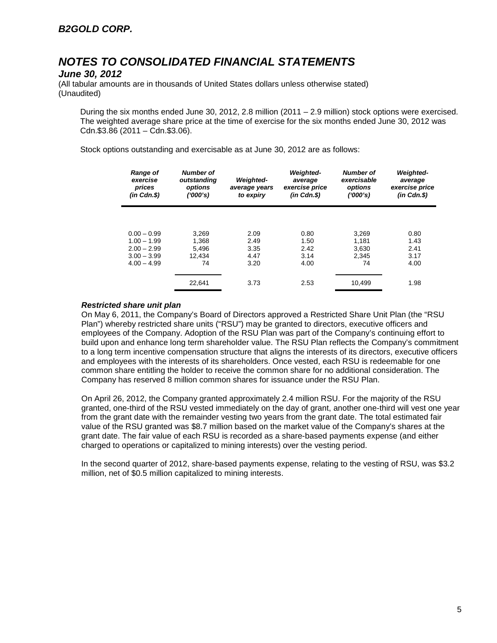#### *June 30, 2012*

(All tabular amounts are in thousands of United States dollars unless otherwise stated) (Unaudited)

During the six months ended June 30, 2012, 2.8 million (2011 – 2.9 million) stock options were exercised. The weighted average share price at the time of exercise for the six months ended June 30, 2012 was Cdn.\$3.86 (2011 – Cdn.\$3.06).

Stock options outstanding and exercisable as at June 30, 2012 are as follows:

| <b>Range of</b><br>exercise<br>prices<br>$(in$ $Cdn.S)$ | Number of<br>outstanding<br>options<br>(1000's) | <b>Weighted-</b><br>average years<br>to expiry | <b>Weighted-</b><br>average<br>exercise price<br>$(in$ $Cdn.$ \$) | <b>Number of</b><br>exercisable<br>options<br>('000's) | <b>Weighted-</b><br>average<br>exercise price<br>$(in$ $Cdn.S)$ |
|---------------------------------------------------------|-------------------------------------------------|------------------------------------------------|-------------------------------------------------------------------|--------------------------------------------------------|-----------------------------------------------------------------|
|                                                         |                                                 |                                                |                                                                   |                                                        |                                                                 |
| $0.00 - 0.99$                                           | 3.269                                           | 2.09                                           | 0.80                                                              | 3.269                                                  | 0.80                                                            |
| $1.00 - 1.99$                                           | 1,368                                           | 2.49                                           | 1.50                                                              | 1.181                                                  | 1.43                                                            |
| $2.00 - 2.99$                                           | 5.496                                           | 3.35                                           | 2.42                                                              | 3.630                                                  | 2.41                                                            |
| $3.00 - 3.99$                                           | 12.434                                          | 4.47                                           | 3.14                                                              | 2.345                                                  | 3.17                                                            |
| $4.00 - 4.99$                                           | 74                                              | 3.20                                           | 4.00                                                              | 74                                                     | 4.00                                                            |
|                                                         | 22.641                                          | 3.73                                           | 2.53                                                              | 10.499                                                 | 1.98                                                            |

#### *Restricted share unit plan*

On May 6, 2011, the Company's Board of Directors approved a Restricted Share Unit Plan (the "RSU Plan") whereby restricted share units ("RSU") may be granted to directors, executive officers and employees of the Company. Adoption of the RSU Plan was part of the Company's continuing effort to build upon and enhance long term shareholder value. The RSU Plan reflects the Company's commitment to a long term incentive compensation structure that aligns the interests of its directors, executive officers and employees with the interests of its shareholders. Once vested, each RSU is redeemable for one common share entitling the holder to receive the common share for no additional consideration. The Company has reserved 8 million common shares for issuance under the RSU Plan.

On April 26, 2012, the Company granted approximately 2.4 million RSU. For the majority of the RSU granted, one-third of the RSU vested immediately on the day of grant, another one-third will vest one year from the grant date with the remainder vesting two years from the grant date. The total estimated fair value of the RSU granted was \$8.7 million based on the market value of the Company's shares at the grant date. The fair value of each RSU is recorded as a share-based payments expense (and either charged to operations or capitalized to mining interests) over the vesting period.

In the second quarter of 2012, share-based payments expense, relating to the vesting of RSU, was \$3.2 million, net of \$0.5 million capitalized to mining interests.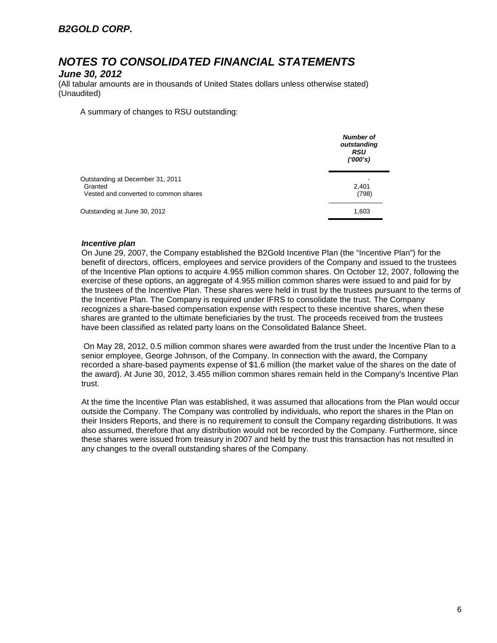#### *June 30, 2012*

(All tabular amounts are in thousands of United States dollars unless otherwise stated) (Unaudited)

A summary of changes to RSU outstanding:

|                                                                                      | <b>Number of</b><br>outstanding<br><b>RSU</b><br>(1000's) |
|--------------------------------------------------------------------------------------|-----------------------------------------------------------|
| Outstanding at December 31, 2011<br>Granted<br>Vested and converted to common shares | 2,401<br>(798)                                            |
| Outstanding at June 30, 2012                                                         | 1,603                                                     |

#### *Incentive plan*

On June 29, 2007, the Company established the B2Gold Incentive Plan (the "Incentive Plan") for the benefit of directors, officers, employees and service providers of the Company and issued to the trustees of the Incentive Plan options to acquire 4.955 million common shares. On October 12, 2007, following the exercise of these options, an aggregate of 4.955 million common shares were issued to and paid for by the trustees of the Incentive Plan. These shares were held in trust by the trustees pursuant to the terms of the Incentive Plan. The Company is required under IFRS to consolidate the trust. The Company recognizes a share-based compensation expense with respect to these incentive shares, when these shares are granted to the ultimate beneficiaries by the trust. The proceeds received from the trustees have been classified as related party loans on the Consolidated Balance Sheet.

On May 28, 2012, 0.5 million common shares were awarded from the trust under the Incentive Plan to a senior employee, George Johnson, of the Company. In connection with the award, the Company recorded a share-based payments expense of \$1.6 million (the market value of the shares on the date of the award). At June 30, 2012, 3.455 million common shares remain held in the Company's Incentive Plan trust.

At the time the Incentive Plan was established, it was assumed that allocations from the Plan would occur outside the Company. The Company was controlled by individuals, who report the shares in the Plan on their Insiders Reports, and there is no requirement to consult the Company regarding distributions. It was also assumed, therefore that any distribution would not be recorded by the Company. Furthermore, since these shares were issued from treasury in 2007 and held by the trust this transaction has not resulted in any changes to the overall outstanding shares of the Company.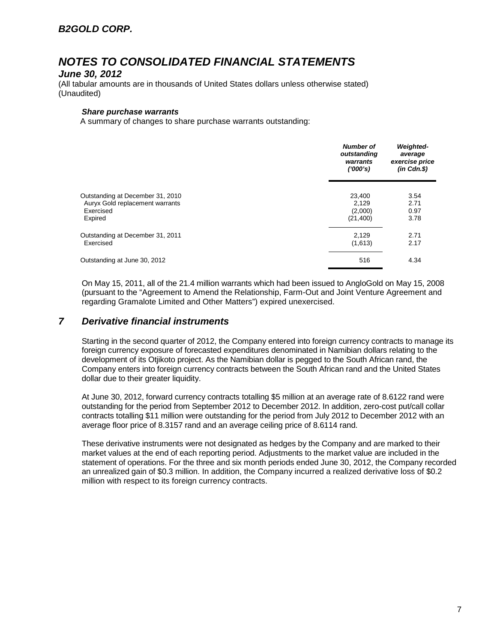#### *June 30, 2012*

(All tabular amounts are in thousands of United States dollars unless otherwise stated) (Unaudited)

#### *Share purchase warrants*

A summary of changes to share purchase warrants outstanding:

|                                  | <b>Number of</b><br>outstanding<br>warrants<br>(1000's) | <b>Weighted-</b><br>average<br>exercise price<br>$(in$ $Cdn.S)$ |
|----------------------------------|---------------------------------------------------------|-----------------------------------------------------------------|
| Outstanding at December 31, 2010 | 23,400                                                  | 3.54                                                            |
| Auryx Gold replacement warrants  | 2.129                                                   | 2.71                                                            |
| Exercised                        | (2,000)                                                 | 0.97                                                            |
| Expired                          | (21, 400)                                               | 3.78                                                            |
| Outstanding at December 31, 2011 | 2,129                                                   | 2.71                                                            |
| Exercised                        | (1,613)                                                 | 2.17                                                            |
| Outstanding at June 30, 2012     | 516                                                     | 4.34                                                            |

On May 15, 2011, all of the 21.4 million warrants which had been issued to AngloGold on May 15, 2008 (pursuant to the "Agreement to Amend the Relationship, Farm-Out and Joint Venture Agreement and regarding Gramalote Limited and Other Matters") expired unexercised.

### *7 Derivative financial instruments*

Starting in the second quarter of 2012, the Company entered into foreign currency contracts to manage its foreign currency exposure of forecasted expenditures denominated in Namibian dollars relating to the development of its Otjikoto project. As the Namibian dollar is pegged to the South African rand, the Company enters into foreign currency contracts between the South African rand and the United States dollar due to their greater liquidity.

At June 30, 2012, forward currency contracts totalling \$5 million at an average rate of 8.6122 rand were outstanding for the period from September 2012 to December 2012. In addition, zero-cost put/call collar contracts totalling \$11 million were outstanding for the period from July 2012 to December 2012 with an average floor price of 8.3157 rand and an average ceiling price of 8.6114 rand.

These derivative instruments were not designated as hedges by the Company and are marked to their market values at the end of each reporting period. Adjustments to the market value are included in the statement of operations. For the three and six month periods ended June 30, 2012, the Company recorded an unrealized gain of \$0.3 million. In addition, the Company incurred a realized derivative loss of \$0.2 million with respect to its foreign currency contracts.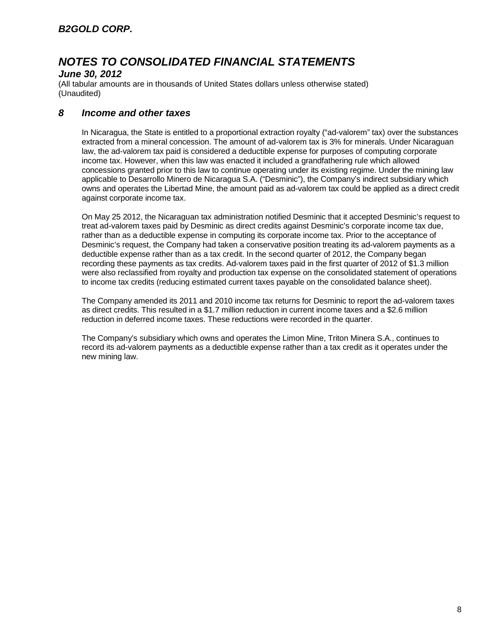#### *June 30, 2012*

(All tabular amounts are in thousands of United States dollars unless otherwise stated) (Unaudited)

### *8 Income and other taxes*

In Nicaragua, the State is entitled to a proportional extraction royalty ("ad-valorem" tax) over the substances extracted from a mineral concession. The amount of ad-valorem tax is 3% for minerals. Under Nicaraguan law, the ad-valorem tax paid is considered a deductible expense for purposes of computing corporate income tax. However, when this law was enacted it included a grandfathering rule which allowed concessions granted prior to this law to continue operating under its existing regime. Under the mining law applicable to Desarrollo Minero de Nicaragua S.A. ("Desminic"), the Company's indirect subsidiary which owns and operates the Libertad Mine, the amount paid as ad-valorem tax could be applied as a direct credit against corporate income tax.

On May 25 2012, the Nicaraguan tax administration notified Desminic that it accepted Desminic's request to treat ad-valorem taxes paid by Desminic as direct credits against Desminic's corporate income tax due, rather than as a deductible expense in computing its corporate income tax. Prior to the acceptance of Desminic's request, the Company had taken a conservative position treating its ad-valorem payments as a deductible expense rather than as a tax credit. In the second quarter of 2012, the Company began recording these payments as tax credits. Ad-valorem taxes paid in the first quarter of 2012 of \$1.3 million were also reclassified from royalty and production tax expense on the consolidated statement of operations to income tax credits (reducing estimated current taxes payable on the consolidated balance sheet).

The Company amended its 2011 and 2010 income tax returns for Desminic to report the ad-valorem taxes as direct credits. This resulted in a \$1.7 million reduction in current income taxes and a \$2.6 million reduction in deferred income taxes. These reductions were recorded in the quarter.

The Company's subsidiary which owns and operates the Limon Mine, Triton Minera S.A., continues to record its ad-valorem payments as a deductible expense rather than a tax credit as it operates under the new mining law.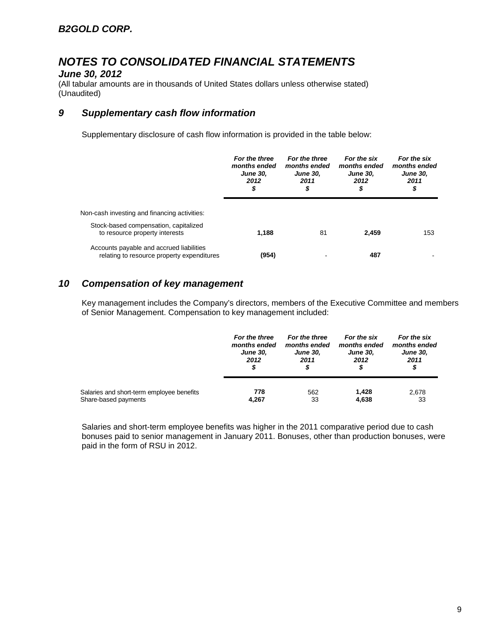### *June 30, 2012*

(All tabular amounts are in thousands of United States dollars unless otherwise stated) (Unaudited)

### *9 Supplementary cash flow information*

Supplementary disclosure of cash flow information is provided in the table below:

|                                                                                        | For the three<br>months ended<br><b>June 30.</b><br>2012<br>\$ | For the three<br>months ended<br><b>June 30.</b><br>2011<br>\$ | For the six<br>months ended<br><b>June 30.</b><br>2012<br>\$ | For the six<br>months ended<br><b>June 30,</b><br>2011<br>\$ |  |
|----------------------------------------------------------------------------------------|----------------------------------------------------------------|----------------------------------------------------------------|--------------------------------------------------------------|--------------------------------------------------------------|--|
| Non-cash investing and financing activities:                                           |                                                                |                                                                |                                                              |                                                              |  |
| Stock-based compensation, capitalized<br>to resource property interests                | 1.188                                                          | 81                                                             | 2.459                                                        | 153                                                          |  |
| Accounts payable and accrued liabilities<br>relating to resource property expenditures | (954)                                                          |                                                                | 487                                                          |                                                              |  |

### *10 Compensation of key management*

Key management includes the Company's directors, members of the Executive Committee and members of Senior Management. Compensation to key management included:

|                                           | For the three<br>months ended<br><b>June 30,</b><br>2012<br>S | For the three<br>months ended<br><b>June 30.</b><br>2011 | For the six<br>months ended<br><b>June 30,</b><br>2012<br>\$ | For the six<br>months ended<br><b>June 30,</b><br>2011<br>S |
|-------------------------------------------|---------------------------------------------------------------|----------------------------------------------------------|--------------------------------------------------------------|-------------------------------------------------------------|
| Salaries and short-term employee benefits | 778                                                           | 562                                                      | 1,428                                                        | 2,678                                                       |
| Share-based payments                      | 4,267                                                         | 33                                                       | 4,638                                                        | 33                                                          |

Salaries and short-term employee benefits was higher in the 2011 comparative period due to cash bonuses paid to senior management in January 2011. Bonuses, other than production bonuses, were paid in the form of RSU in 2012.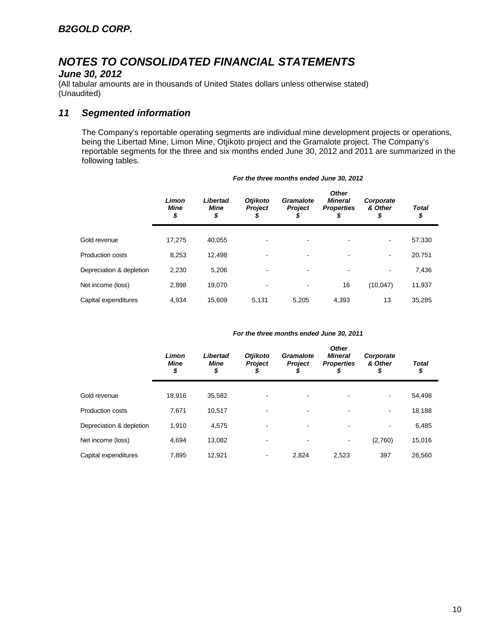### *June 30, 2012*

(All tabular amounts are in thousands of United States dollars unless otherwise stated) (Unaudited)

### *11 Segmented information*

The Company's reportable operating segments are individual mine development projects or operations, being the Libertad Mine, Limon Mine, Otjikoto project and the Gramalote project. The Company's reportable segments for the three and six months ended June 30, 2012 and 2011 are summarized in the following tables.

|                          | Limon<br><b>Mine</b><br>\$ | Libertad<br>Mine<br>\$ | <b>Otjikoto</b><br><b>Project</b><br>D | Gramalote<br><b>Project</b><br>₽ | <b>Other</b><br><b>Mineral</b><br><b>Properties</b><br>\$ | Corporate<br>& Other<br>\$ | Total<br>\$ |
|--------------------------|----------------------------|------------------------|----------------------------------------|----------------------------------|-----------------------------------------------------------|----------------------------|-------------|
| Gold revenue             | 17.275                     | 40.055                 | -                                      | $\overline{\phantom{a}}$         |                                                           | ٠                          | 57,330      |
| Production costs         | 8,253                      | 12.498                 |                                        | ۰                                |                                                           | ٠                          | 20,751      |
| Depreciation & depletion | 2,230                      | 5,206                  |                                        | $\overline{\phantom{a}}$         |                                                           | ٠                          | 7,436       |
| Net income (loss)        | 2,898                      | 19,070                 | -                                      | $\overline{\phantom{a}}$         | 16                                                        | (10, 047)                  | 11,937      |
| Capital expenditures     | 4.934                      | 15.609                 | 5,131                                  | 5.205                            | 4.393                                                     | 13                         | 35,285      |

#### *For the three months ended June 30, 2012*

#### *For the three months ended June 30, 2011*

|                          | Limon<br><b>Mine</b><br>\$ | Libertad<br>Mine<br>\$ | <b>Otjikoto</b><br><b>Project</b> | Gramalote<br><b>Project</b><br>J | <b>Other</b><br><b>Mineral</b><br><b>Properties</b><br>\$ | Corporate<br>& Other<br>\$ | <b>Total</b><br>\$ |
|--------------------------|----------------------------|------------------------|-----------------------------------|----------------------------------|-----------------------------------------------------------|----------------------------|--------------------|
| Gold revenue             | 18,916                     | 35,582                 |                                   |                                  |                                                           | $\overline{\phantom{a}}$   | 54,498             |
| <b>Production costs</b>  | 7,671                      | 10,517                 |                                   |                                  |                                                           | $\overline{\phantom{a}}$   | 18,188             |
| Depreciation & depletion | 1,910                      | 4,575                  |                                   | ۰                                | $\blacksquare$                                            | $\overline{\phantom{a}}$   | 6,485              |
| Net income (loss)        | 4.694                      | 13.082                 |                                   |                                  |                                                           | (2,760)                    | 15,016             |
| Capital expenditures     | 7.895                      | 12,921                 | -                                 | 2,824                            | 2,523                                                     | 397                        | 26,560             |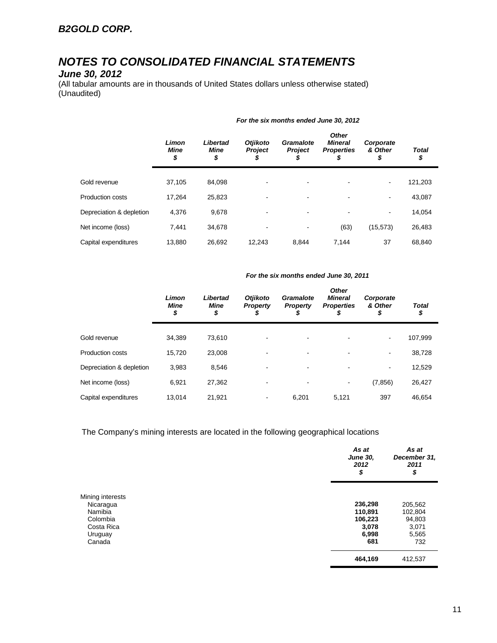### *June 30, 2012*

(All tabular amounts are in thousands of United States dollars unless otherwise stated) (Unaudited)

|                          | Limon<br><b>Mine</b><br>\$ | Libertad<br>Mine<br>\$ | <b>Otjikoto</b><br><b>Project</b><br>S | Gramalote<br><b>Project</b> | <b>Other</b><br><b>Mineral</b><br><b>Properties</b><br>\$ | Corporate<br>& Other<br>\$ | <b>Total</b><br>\$ |
|--------------------------|----------------------------|------------------------|----------------------------------------|-----------------------------|-----------------------------------------------------------|----------------------------|--------------------|
| Gold revenue             | 37.105                     | 84.098                 |                                        | -                           |                                                           | $\overline{\phantom{a}}$   | 121,203            |
| Production costs         | 17.264                     | 25,823                 | -                                      | -                           |                                                           | $\overline{\phantom{a}}$   | 43,087             |
| Depreciation & depletion | 4,376                      | 9,678                  |                                        | -                           |                                                           | $\overline{\phantom{0}}$   | 14,054             |
| Net income (loss)        | 7.441                      | 34,678                 |                                        |                             | (63)                                                      | (15, 573)                  | 26,483             |
| Capital expenditures     | 13,880                     | 26.692                 | 12.243                                 | 8.844                       | 7.144                                                     | 37                         | 68.840             |

#### *For the six months ended June 30, 2012*

#### *For the six months ended June 30, 2011*

|                          | Limon<br><b>Mine</b><br>\$ | Libertad<br><b>Mine</b><br>\$ | <b>Otjikoto</b><br><b>Property</b><br>S | Gramalote<br><b>Property</b><br>S | <b>Other</b><br><b>Mineral</b><br><b>Properties</b><br>\$ | Corporate<br>& Other<br>\$ | <b>Total</b><br>\$ |
|--------------------------|----------------------------|-------------------------------|-----------------------------------------|-----------------------------------|-----------------------------------------------------------|----------------------------|--------------------|
| Gold revenue             | 34,389                     | 73,610                        |                                         |                                   |                                                           |                            | 107,999            |
|                          |                            |                               |                                         |                                   |                                                           |                            |                    |
| Production costs         | 15,720                     | 23,008                        |                                         |                                   |                                                           | ۰                          | 38,728             |
| Depreciation & depletion | 3,983                      | 8,546                         |                                         |                                   |                                                           | ۰                          | 12,529             |
| Net income (loss)        | 6.921                      | 27,362                        |                                         |                                   | $\qquad \qquad \blacksquare$                              | (7, 856)                   | 26,427             |
| Capital expenditures     | 13,014                     | 21,921                        | $\,$                                    | 6,201                             | 5,121                                                     | 397                        | 46,654             |

The Company's mining interests are located in the following geographical locations

|                  | As at<br><b>June 30,</b><br>2012<br>\$ | As at<br>December 31,<br>2011<br>\$ |
|------------------|----------------------------------------|-------------------------------------|
| Mining interests |                                        |                                     |
| Nicaragua        | 236,298                                | 205,562                             |
| Namibia          | 110,891                                | 102,804                             |
| Colombia         | 106,223                                | 94,803                              |
| Costa Rica       | 3,078                                  | 3,071                               |
| Uruguay          | 6,998                                  | 5,565                               |
| Canada           | 681                                    | 732                                 |
|                  | 464,169                                | 412,537                             |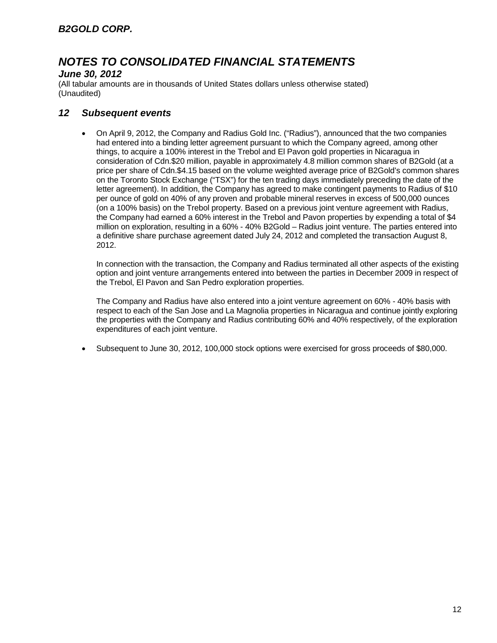### *June 30, 2012*

(All tabular amounts are in thousands of United States dollars unless otherwise stated) (Unaudited)

#### *12 Subsequent events*

• On April 9, 2012, the Company and Radius Gold Inc. ("Radius"), announced that the two companies had entered into a binding letter agreement pursuant to which the Company agreed, among other things, to acquire a 100% interest in the Trebol and El Pavon gold properties in Nicaragua in consideration of Cdn.\$20 million, payable in approximately 4.8 million common shares of B2Gold (at a price per share of Cdn.\$4.15 based on the volume weighted average price of B2Gold's common shares on the Toronto Stock Exchange ("TSX") for the ten trading days immediately preceding the date of the letter agreement). In addition, the Company has agreed to make contingent payments to Radius of \$10 per ounce of gold on 40% of any proven and probable mineral reserves in excess of 500,000 ounces (on a 100% basis) on the Trebol property. Based on a previous joint venture agreement with Radius, the Company had earned a 60% interest in the Trebol and Pavon properties by expending a total of \$4 million on exploration, resulting in a 60% - 40% B2Gold – Radius joint venture. The parties entered into a definitive share purchase agreement dated July 24, 2012 and completed the transaction August 8, 2012.

In connection with the transaction, the Company and Radius terminated all other aspects of the existing option and joint venture arrangements entered into between the parties in December 2009 in respect of the Trebol, El Pavon and San Pedro exploration properties.

The Company and Radius have also entered into a joint venture agreement on 60% - 40% basis with respect to each of the San Jose and La Magnolia properties in Nicaragua and continue jointly exploring the properties with the Company and Radius contributing 60% and 40% respectively, of the exploration expenditures of each joint venture.

• Subsequent to June 30, 2012, 100,000 stock options were exercised for gross proceeds of \$80,000.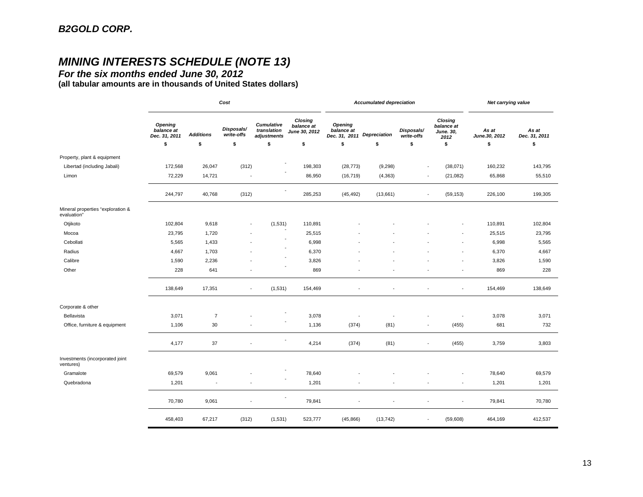# *MINING INTERESTS SCHEDULE (NOTE 13)*

*For the six months ended June 30, 2012*

**(all tabular amounts are in thousands of United States dollars)**

|                                                  | Cost                                          |                          |                          |                                                 |                                               | <b>Accumulated depreciation</b>               |                     |                          |                                                   | Net carrying value     |                        |
|--------------------------------------------------|-----------------------------------------------|--------------------------|--------------------------|-------------------------------------------------|-----------------------------------------------|-----------------------------------------------|---------------------|--------------------------|---------------------------------------------------|------------------------|------------------------|
|                                                  | <b>Opening</b><br>balance at<br>Dec. 31, 2011 | <b>Additions</b>         | Disposals/<br>write-offs | <b>Cumulative</b><br>translation<br>adjustments | Closing<br>balance at<br><b>June 30, 2012</b> | <b>Opening</b><br>balance at<br>Dec. 31, 2011 | <b>Depreciation</b> | Disposals/<br>write-offs | <b>Closing</b><br>balance at<br>June. 30,<br>2012 | As at<br>June.30, 2012 | As at<br>Dec. 31, 2011 |
|                                                  | \$                                            | \$                       | \$                       | \$                                              | \$                                            | \$                                            | \$                  | \$                       | \$                                                | \$                     | \$                     |
| Property, plant & equipment                      |                                               |                          |                          |                                                 |                                               |                                               |                     |                          |                                                   |                        |                        |
| Libertad (including Jabali)                      | 172,568                                       | 26,047                   | (312)                    |                                                 | 198,303                                       | (28, 773)                                     | (9, 298)            |                          | (38,071)                                          | 160,232                | 143,795                |
| Limon                                            | 72,229                                        | 14,721                   |                          |                                                 | 86,950                                        | (16, 719)                                     | (4, 363)            |                          | (21, 082)                                         | 65,868                 | 55,510                 |
|                                                  | 244,797                                       | 40,768                   | (312)                    |                                                 | 285,253                                       | (45, 492)                                     | (13,661)            | $\blacksquare$           | (59, 153)                                         | 226,100                | 199,305                |
| Mineral properties "exploration &<br>evaluation" |                                               |                          |                          |                                                 |                                               |                                               |                     |                          |                                                   |                        |                        |
| Otjikoto                                         | 102,804                                       | 9,618                    | $\overline{\phantom{a}}$ | (1,531)                                         | 110,891                                       |                                               |                     |                          |                                                   | 110,891                | 102,804                |
| Mocoa                                            | 23,795                                        | 1,720                    |                          |                                                 | 25,515                                        |                                               |                     |                          |                                                   | 25,515                 | 23,795                 |
| Cebollati                                        | 5,565                                         | 1,433                    |                          |                                                 | 6,998                                         |                                               |                     |                          |                                                   | 6,998                  | 5,565                  |
| Radius                                           | 4,667                                         | 1,703                    |                          |                                                 | 6,370                                         |                                               |                     |                          | ÷                                                 | 6,370                  | 4,667                  |
| Calibre                                          | 1,590                                         | 2,236                    |                          |                                                 | 3,826                                         |                                               |                     |                          |                                                   | 3,826                  | 1,590                  |
| Other                                            | 228                                           | 641                      |                          |                                                 | 869                                           |                                               |                     |                          | ÷,                                                | 869                    | 228                    |
|                                                  | 138,649                                       | 17,351                   | $\overline{\phantom{a}}$ | (1,531)                                         | 154,469                                       |                                               |                     |                          | $\overline{\phantom{a}}$                          | 154,469                | 138,649                |
| Corporate & other                                |                                               |                          |                          |                                                 |                                               |                                               |                     |                          |                                                   |                        |                        |
| Bellavista                                       | 3,071                                         | $\overline{7}$           |                          |                                                 | 3,078                                         |                                               |                     |                          |                                                   | 3,078                  | 3,071                  |
| Office, furniture & equipment                    | 1,106                                         | 30                       |                          |                                                 | 1,136                                         | (374)                                         | (81)                |                          | (455)                                             | 681                    | 732                    |
|                                                  | 4,177                                         | 37                       | $\overline{\phantom{a}}$ |                                                 | 4,214                                         | (374)                                         | (81)                | $\overline{\phantom{a}}$ | (455)                                             | 3,759                  | 3,803                  |
| Investments (incorporated joint<br>ventures)     |                                               |                          |                          |                                                 |                                               |                                               |                     |                          |                                                   |                        |                        |
| Gramalote                                        | 69,579                                        | 9,061                    |                          |                                                 | 78,640                                        |                                               |                     |                          |                                                   | 78,640                 | 69,579                 |
| Quebradona                                       | 1,201                                         | $\overline{\phantom{a}}$ | ÷                        |                                                 | 1,201                                         |                                               |                     |                          | $\overline{\phantom{a}}$                          | 1,201                  | 1,201                  |
|                                                  | 70,780                                        | 9,061                    | ÷,                       |                                                 | 79,841                                        |                                               |                     |                          | ٠                                                 | 79,841                 | 70,780                 |
|                                                  | 458,403                                       | 67,217                   | (312)                    | (1,531)                                         | 523,777                                       | (45, 866)                                     | (13, 742)           |                          | (59,608)                                          | 464,169                | 412,537                |